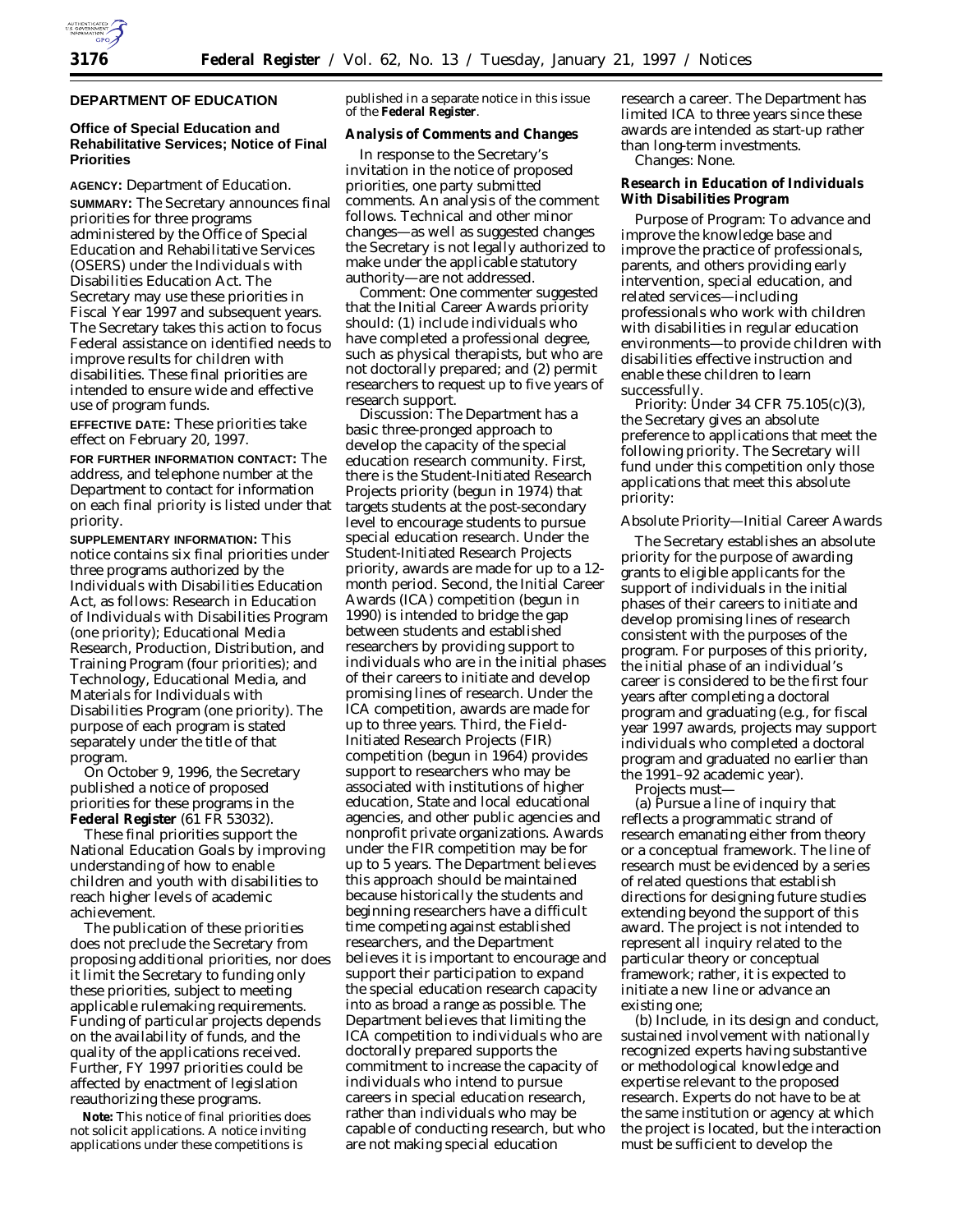

## **DEPARTMENT OF EDUCATION**

## **Office of Special Education and Rehabilitative Services; Notice of Final Priorities**

**AGENCY:** Department of Education.

**SUMMARY:** The Secretary announces final priorities for three programs administered by the Office of Special Education and Rehabilitative Services (OSERS) under the Individuals with Disabilities Education Act. The Secretary may use these priorities in Fiscal Year 1997 and subsequent years. The Secretary takes this action to focus Federal assistance on identified needs to improve results for children with disabilities. These final priorities are intended to ensure wide and effective use of program funds.

**EFFECTIVE DATE:** These priorities take effect on February 20, 1997.

**FOR FURTHER INFORMATION CONTACT:** The address, and telephone number at the Department to contact for information on each final priority is listed under that priority.

**SUPPLEMENTARY INFORMATION:** This notice contains six final priorities under three programs authorized by the Individuals with Disabilities Education Act, as follows: Research in Education of Individuals with Disabilities Program (one priority); Educational Media Research, Production, Distribution, and Training Program (four priorities); and Technology, Educational Media, and Materials for Individuals with Disabilities Program (one priority). The purpose of each program is stated separately under the title of that program.

On October 9, 1996, the Secretary published a notice of proposed priorities for these programs in the **Federal Register** (61 FR 53032).

These final priorities support the National Education Goals by improving understanding of how to enable children and youth with disabilities to reach higher levels of academic achievement.

The publication of these priorities does not preclude the Secretary from proposing additional priorities, nor does it limit the Secretary to funding only these priorities, subject to meeting applicable rulemaking requirements. Funding of particular projects depends on the availability of funds, and the quality of the applications received. Further, FY 1997 priorities could be affected by enactment of legislation reauthorizing these programs.

**Note:** This notice of final priorities does not solicit applications. A notice inviting applications under these competitions is

published in a separate notice in this issue of the **Federal Register**.

# **Analysis of Comments and Changes**

In response to the Secretary's invitation in the notice of proposed priorities, one party submitted comments. An analysis of the comment follows. Technical and other minor changes—as well as suggested changes the Secretary is not legally authorized to make under the applicable statutory authority—are not addressed.

*Comment:* One commenter suggested that the Initial Career Awards priority should: (1) include individuals who have completed a professional degree, such as physical therapists, but who are not doctorally prepared; and (2) permit researchers to request up to five years of research support.

*Discussion:* The Department has a basic three-pronged approach to develop the capacity of the special education research community. First, there is the Student-Initiated Research Projects priority (begun in 1974) that targets students at the post-secondary level to encourage students to pursue special education research. Under the Student-Initiated Research Projects priority, awards are made for up to a 12 month period. Second, the Initial Career Awards (ICA) competition (begun in 1990) is intended to bridge the gap between students and established researchers by providing support to individuals who are in the initial phases of their careers to initiate and develop promising lines of research. Under the ICA competition, awards are made for up to three years. Third, the Field-Initiated Research Projects (FIR) competition (begun in 1964) provides support to researchers who may be associated with institutions of higher education, State and local educational agencies, and other public agencies and nonprofit private organizations. Awards under the FIR competition may be for up to 5 years. The Department believes this approach should be maintained because historically the students and beginning researchers have a difficult time competing against established researchers, and the Department believes it is important to encourage and support their participation to expand the special education research capacity into as broad a range as possible. The Department believes that limiting the ICA competition to individuals who are doctorally prepared supports the commitment to increase the capacity of individuals who intend to pursue careers in special education research, rather than individuals who may be capable of conducting research, but who are not making special education

research a career. The Department has limited ICA to three years since these awards are intended as start-up rather than long-term investments. *Changes:* None.

**Research in Education of Individuals With Disabilities Program**

*Purpose of Program:* To advance and improve the knowledge base and improve the practice of professionals, parents, and others providing early intervention, special education, and related services—including professionals who work with children with disabilities in regular education environments—to provide children with disabilities effective instruction and enable these children to learn successfully.

*Priority:* Under 34 CFR 75.105(c)(3), the Secretary gives an absolute preference to applications that meet the following priority. The Secretary will fund under this competition only those applications that meet this absolute priority:

### *Absolute Priority—Initial Career Awards*

The Secretary establishes an absolute priority for the purpose of awarding grants to eligible applicants for the support of individuals in the initial phases of their careers to initiate and develop promising lines of research consistent with the purposes of the program. For purposes of this priority, the initial phase of an individual's career is considered to be the first four years after completing a doctoral program and graduating (e.g., for fiscal year 1997 awards, projects may support individuals who completed a doctoral program and graduated no earlier than the 1991–92 academic year).

Projects must—

(a) Pursue a line of inquiry that reflects a programmatic strand of research emanating either from theory or a conceptual framework. The line of research must be evidenced by a series of related questions that establish directions for designing future studies extending beyond the support of this award. The project is not intended to represent all inquiry related to the particular theory or conceptual framework; rather, it is expected to initiate a new line or advance an existing one;

(b) Include, in its design and conduct, sustained involvement with nationally recognized experts having substantive or methodological knowledge and expertise relevant to the proposed research. Experts do not have to be at the same institution or agency at which the project is located, but the interaction must be sufficient to develop the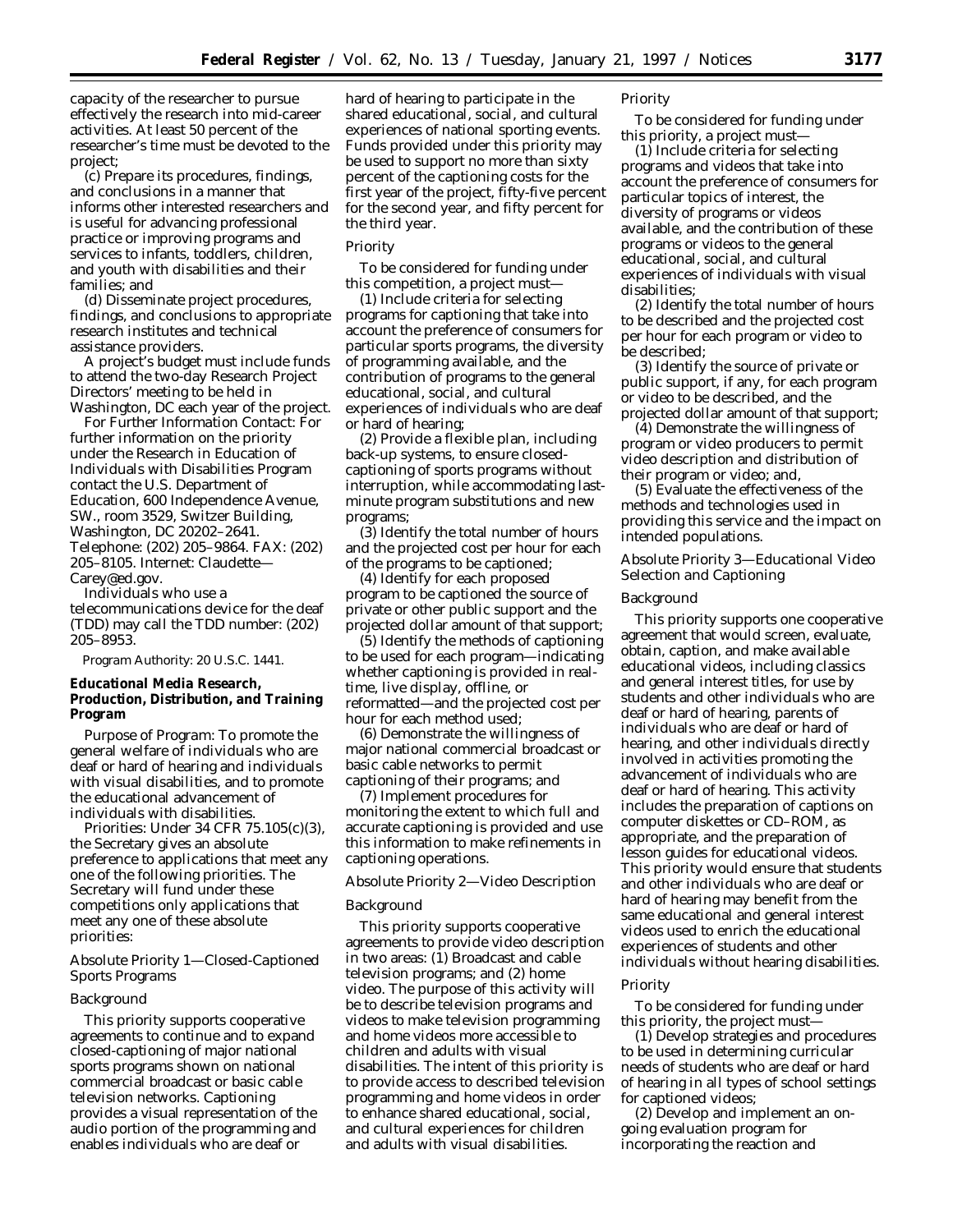capacity of the researcher to pursue effectively the research into mid-career activities. At least 50 percent of the researcher's time must be devoted to the project;

(c) Prepare its procedures, findings, and conclusions in a manner that informs other interested researchers and is useful for advancing professional practice or improving programs and services to infants, toddlers, children, and youth with disabilities and their families; and

(d) Disseminate project procedures, findings, and conclusions to appropriate research institutes and technical assistance providers.

A project's budget must include funds to attend the two-day Research Project Directors' meeting to be held in Washington, DC each year of the project.

*For Further Information Contact:* For further information on the priority under the Research in Education of Individuals with Disabilities Program contact the U.S. Department of Education, 600 Independence Avenue, SW., room 3529, Switzer Building, Washington, DC 20202–2641. Telephone: (202) 205–9864. FAX: (202) 205–8105. Internet: Claudette— Carey@ed.gov.

Individuals who use a telecommunications device for the deaf (TDD) may call the TDD number: (202) 205–8953.

### *Program Authority:* 20 U.S.C. 1441.

**Educational Media Research, Production, Distribution, and Training Program**

*Purpose of Program:* To promote the general welfare of individuals who are deaf or hard of hearing and individuals with visual disabilities, and to promote the educational advancement of individuals with disabilities.

*Priorities:* Under 34 CFR 75.105(c)(3), the Secretary gives an absolute preference to applications that meet any one of the following priorities. The Secretary will fund under these competitions only applications that meet any one of these absolute priorities:

# *Absolute Priority 1—Closed-Captioned Sports Programs*

### Background

This priority supports cooperative agreements to continue and to expand closed-captioning of major national sports programs shown on national commercial broadcast or basic cable television networks. Captioning provides a visual representation of the audio portion of the programming and enables individuals who are deaf or

hard of hearing to participate in the shared educational, social, and cultural experiences of national sporting events. Funds provided under this priority may be used to support no more than sixty percent of the captioning costs for the first year of the project, fifty-five percent for the second year, and fifty percent for the third year.

#### Priority

To be considered for funding under this competition, a project must—

(1) Include criteria for selecting programs for captioning that take into account the preference of consumers for particular sports programs, the diversity of programming available, and the contribution of programs to the general educational, social, and cultural experiences of individuals who are deaf or hard of hearing;

(2) Provide a flexible plan, including back-up systems, to ensure closedcaptioning of sports programs without interruption, while accommodating lastminute program substitutions and new programs;

(3) Identify the total number of hours and the projected cost per hour for each of the programs to be captioned;

(4) Identify for each proposed program to be captioned the source of private or other public support and the projected dollar amount of that support;

(5) Identify the methods of captioning to be used for each program—indicating whether captioning is provided in realtime, live display, offline, or reformatted—and the projected cost per hour for each method used;

(6) Demonstrate the willingness of major national commercial broadcast or basic cable networks to permit captioning of their programs; and

(7) Implement procedures for monitoring the extent to which full and accurate captioning is provided and use this information to make refinements in captioning operations.

## *Absolute Priority 2—Video Description*

#### Background

This priority supports cooperative agreements to provide video description in two areas: (1) Broadcast and cable television programs; and (2) home video. The purpose of this activity will be to describe television programs and videos to make television programming and home videos more accessible to children and adults with visual disabilities. The intent of this priority is to provide access to described television programming and home videos in order to enhance shared educational, social, and cultural experiences for children and adults with visual disabilities.

# Priority

To be considered for funding under this priority, a project must—

(1) Include criteria for selecting programs and videos that take into account the preference of consumers for particular topics of interest, the diversity of programs or videos available, and the contribution of these programs or videos to the general educational, social, and cultural experiences of individuals with visual disabilities;

(2) Identify the total number of hours to be described and the projected cost per hour for each program or video to be described;

(3) Identify the source of private or public support, if any, for each program or video to be described, and the projected dollar amount of that support;

(4) Demonstrate the willingness of program or video producers to permit video description and distribution of their program or video; and,

(5) Evaluate the effectiveness of the methods and technologies used in providing this service and the impact on intended populations.

## *Absolute Priority 3—Educational Video Selection and Captioning*

## Background

This priority supports one cooperative agreement that would screen, evaluate, obtain, caption, and make available educational videos, including classics and general interest titles, for use by students and other individuals who are deaf or hard of hearing, parents of individuals who are deaf or hard of hearing, and other individuals directly involved in activities promoting the advancement of individuals who are deaf or hard of hearing. This activity includes the preparation of captions on computer diskettes or CD–ROM, as appropriate, and the preparation of lesson guides for educational videos. This priority would ensure that students and other individuals who are deaf or hard of hearing may benefit from the same educational and general interest videos used to enrich the educational experiences of students and other individuals without hearing disabilities.

#### Priority

To be considered for funding under this priority, the project must—

(1) Develop strategies and procedures to be used in determining curricular needs of students who are deaf or hard of hearing in all types of school settings for captioned videos;

(2) Develop and implement an ongoing evaluation program for incorporating the reaction and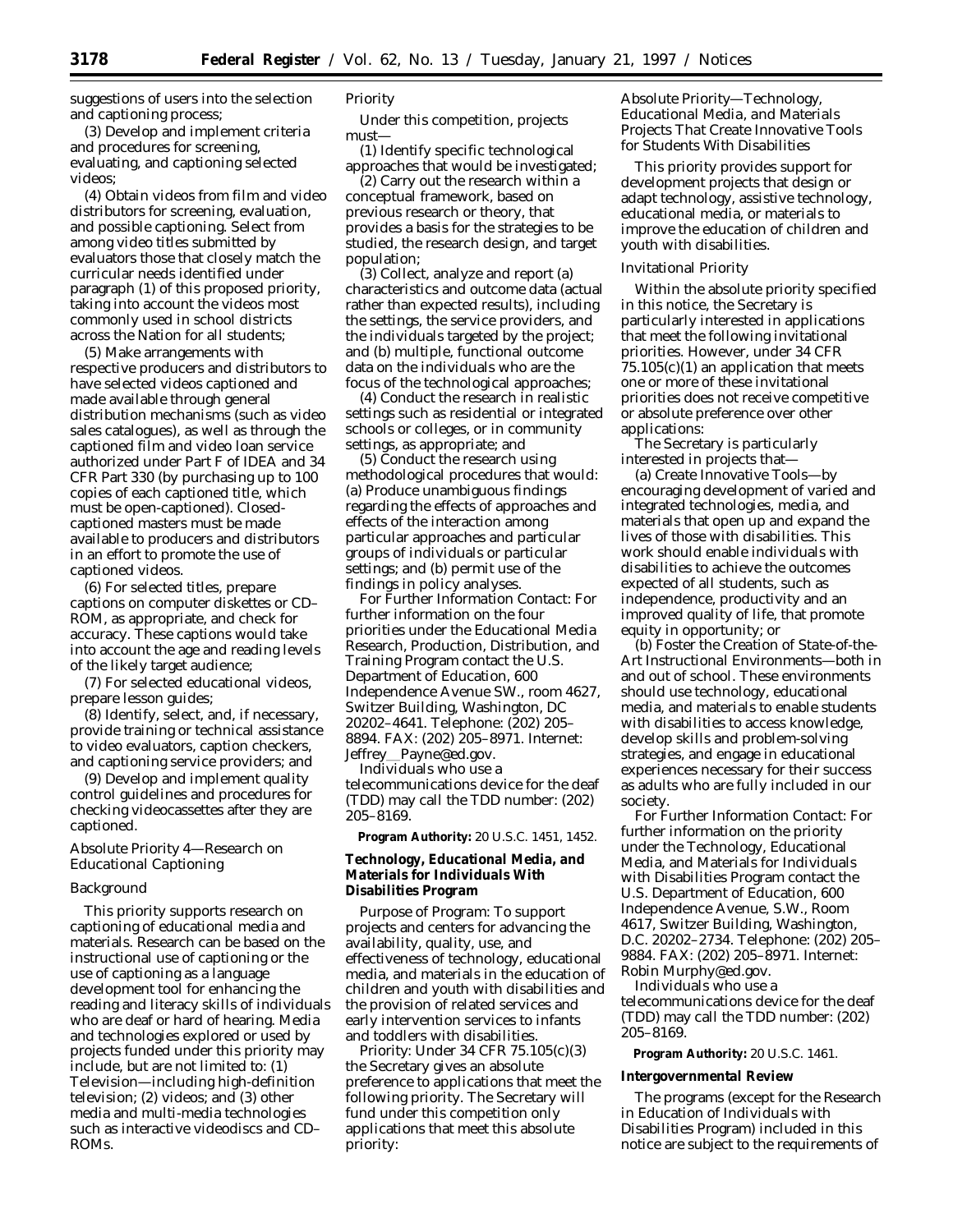suggestions of users into the selection and captioning process;

(3) Develop and implement criteria and procedures for screening, evaluating, and captioning selected videos;

(4) Obtain videos from film and video distributors for screening, evaluation, and possible captioning. Select from among video titles submitted by evaluators those that closely match the curricular needs identified under paragraph (1) of this proposed priority, taking into account the videos most commonly used in school districts across the Nation for all students;

(5) Make arrangements with respective producers and distributors to have selected videos captioned and made available through general distribution mechanisms (such as video sales catalogues), as well as through the captioned film and video loan service authorized under Part F of IDEA and 34 CFR Part 330 (by purchasing up to 100 copies of each captioned title, which must be open-captioned). Closedcaptioned masters must be made available to producers and distributors in an effort to promote the use of captioned videos.

(6) For selected titles, prepare captions on computer diskettes or CD– ROM, as appropriate, and check for accuracy. These captions would take into account the age and reading levels of the likely target audience;

(7) For selected educational videos, prepare lesson guides;

(8) Identify, select, and, if necessary, provide training or technical assistance to video evaluators, caption checkers, and captioning service providers; and

(9) Develop and implement quality control guidelines and procedures for checking videocassettes after they are captioned.

## *Absolute Priority 4—Research on Educational Captioning*

## Background

This priority supports research on captioning of educational media and materials. Research can be based on the instructional use of captioning or the use of captioning as a language development tool for enhancing the reading and literacy skills of individuals who are deaf or hard of hearing. Media and technologies explored or used by projects funded under this priority may include, but are not limited to: (1) Television—including high-definition television; (2) videos; and (3) other media and multi-media technologies such as interactive videodiscs and CD– ROMs.

# Priority

Under this competition, projects must—

(1) Identify specific technological approaches that would be investigated;

(2) Carry out the research within a conceptual framework, based on previous research or theory, that provides a basis for the strategies to be studied, the research design, and target population;

(3) Collect, analyze and report (a) characteristics and outcome data (actual rather than expected results), including the settings, the service providers, and the individuals targeted by the project; and (b) multiple, functional outcome data on the individuals who are the focus of the technological approaches;

(4) Conduct the research in realistic settings such as residential or integrated schools or colleges, or in community settings, as appropriate; and

(5) Conduct the research using methodological procedures that would: (a) Produce unambiguous findings regarding the effects of approaches and effects of the interaction among particular approaches and particular groups of individuals or particular settings; and (b) permit use of the findings in policy analyses.

*For Further Information Contact:* For further information on the four priorities under the Educational Media Research, Production, Distribution, and Training Program contact the U.S. Department of Education, 600 Independence Avenue SW., room 4627, Switzer Building, Washington, DC 20202–4641. Telephone: (202) 205– 8894. FAX: (202) 205–8971. Internet: Jeffrey Payne@ed.gov.

Individuals who use a telecommunications device for the deaf (TDD) may call the TDD number: (202) 205–8169.

**Program Authority:** 20 U.S.C. 1451, 1452.

**Technology, Educational Media, and Materials for Individuals With Disabilities Program**

*Purpose of Program:* To support projects and centers for advancing the availability, quality, use, and effectiveness of technology, educational media, and materials in the education of children and youth with disabilities and the provision of related services and early intervention services to infants and toddlers with disabilities.

*Priority:* Under 34 CFR 75.105(c)(3) the Secretary gives an absolute preference to applications that meet the following priority. The Secretary will fund under this competition only applications that meet this absolute priority:

# *Absolute Priority—Technology, Educational Media, and Materials Projects That Create Innovative Tools for Students With Disabilities*

This priority provides support for development projects that design or adapt technology, assistive technology, educational media, or materials to improve the education of children and youth with disabilities.

#### Invitational Priority

Within the absolute priority specified in this notice, the Secretary is particularly interested in applications that meet the following invitational priorities. However, under 34 CFR  $75.105(c)(1)$  an application that meets one or more of these invitational priorities does not receive competitive or absolute preference over other applications:

The Secretary is particularly interested in projects that—

(a) *Create Innovative Tools—*by encouraging development of varied and integrated technologies, media, and materials that open up and expand the lives of those with disabilities. This work should enable individuals with disabilities to achieve the outcomes expected of all students, such as independence, productivity and an improved quality of life, that promote equity in opportunity; or

(b) *Foster the Creation of State-of-the-Art Instructional Environments—*both in and out of school. These environments should use technology, educational media, and materials to enable students with disabilities to access knowledge, develop skills and problem-solving strategies, and engage in educational experiences necessary for their success as adults who are fully included in our society.

*For Further Information Contact:* For further information on the priority under the Technology, Educational Media, and Materials for Individuals with Disabilities Program contact the U.S. Department of Education, 600 Independence Avenue, S.W., Room 4617, Switzer Building, Washington, D.C. 20202–2734. Telephone: (202) 205– 9884. FAX: (202) 205–8971. Internet: Robin Murphy@ed.gov.

Individuals who use a telecommunications device for the deaf (TDD) may call the TDD number: (202) 205–8169.

**Program Authority:** 20 U.S.C. 1461.

#### **Intergovernmental Review**

The programs (except for the Research in Education of Individuals with Disabilities Program) included in this notice are subject to the requirements of